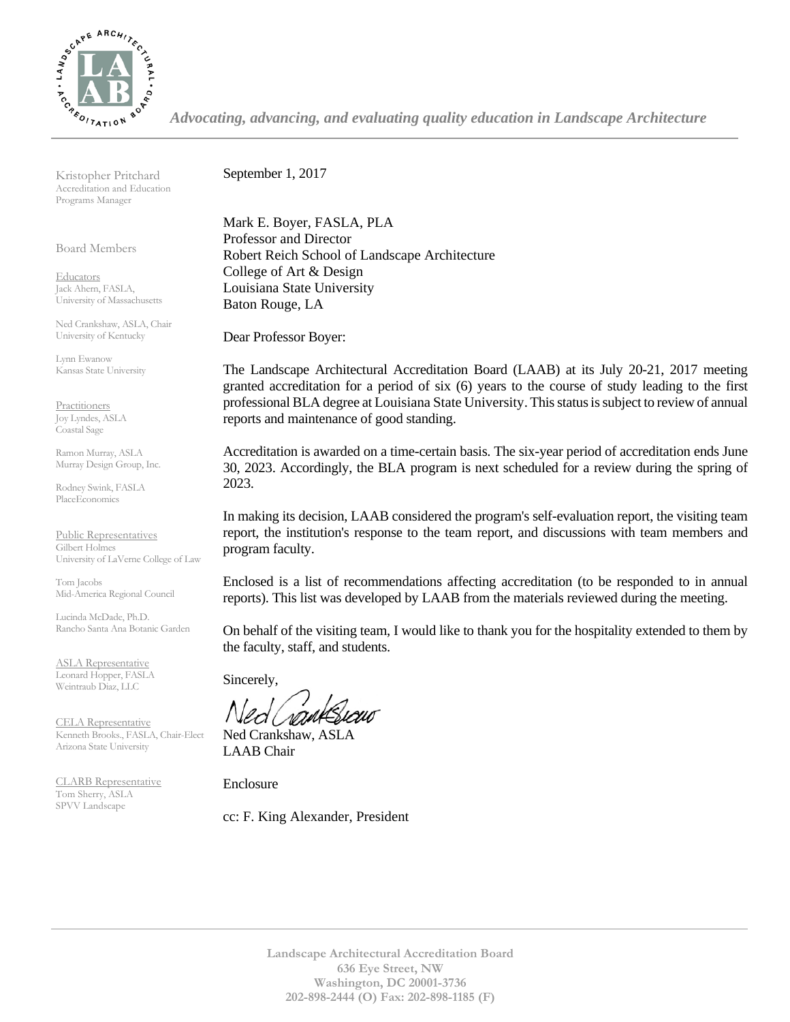

*Advocating, advancing, and evaluating quality education in Landscape Architecture*

Kristopher Pritchard Accreditation and Education Programs Manager

Board Members

**Educators** Jack Ahern, FASLA, University of Massachusetts

Ned Crankshaw, ASLA, Chair University of Kentucky

Lynn Ewanow Kansas State University

**Practitioners** Joy Lyndes, ASLA Coastal Sage

Ramon Murray, ASLA Murray Design Group, Inc.

Rodney Swink, FASLA PlaceEconomics

Public Representatives Gilbert Holmes University of LaVerne College of Law

Tom Jacobs Mid-America Regional Council

Lucinda McDade, Ph.D. Rancho Santa Ana Botanic Garden

ASLA Representative Leonard Hopper, FASLA Weintraub Diaz, LLC

CELA Representative Kenneth Brooks., FASLA, Chair-Elect Arizona State University

CLARB Representative Tom Sherry, ASLA SPVV Landscape

September 1, 2017

Mark E. Boyer, FASLA, PLA Professor and Director Robert Reich School of Landscape Architecture College of Art & Design Louisiana State University Baton Rouge, LA

Dear Professor Boyer:

The Landscape Architectural Accreditation Board (LAAB) at its July 20-21, 2017 meeting granted accreditation for a period of six (6) years to the course of study leading to the first professional BLA degree at Louisiana State University. This status is subject to review of annual reports and maintenance of good standing.

Accreditation is awarded on a time-certain basis. The six-year period of accreditation ends June 30, 2023. Accordingly, the BLA program is next scheduled for a review during the spring of 2023.

In making its decision, LAAB considered the program's self-evaluation report, the visiting team report, the institution's response to the team report, and discussions with team members and program faculty.

Enclosed is a list of recommendations affecting accreditation (to be responded to in annual reports). This list was developed by LAAB from the materials reviewed during the meeting.

On behalf of the visiting team, I would like to thank you for the hospitality extended to them by the faculty, staff, and students.

Sincerely,

Ned Crankshaw, ASLA LAAB Chair

Enclosure

cc: F. King Alexander, President